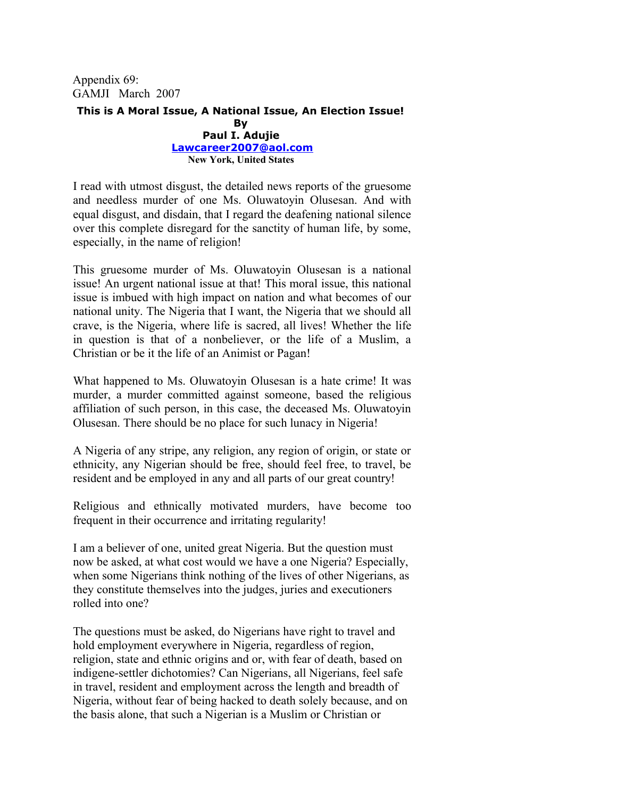Appendix 69: GAMJI March 2007

## **This is A Moral Issue, A National Issue, An Election Issue! By Paul I. Adujie [Lawcareer2007@aol.com](mailto:Lawcareer2007@aol.com) New York, United States**

I read with utmost disgust, the detailed news reports of the gruesome and needless murder of one Ms. Oluwatoyin Olusesan. And with equal disgust, and disdain, that I regard the deafening national silence over this complete disregard for the sanctity of human life, by some, especially, in the name of religion!

This gruesome murder of Ms. Oluwatoyin Olusesan is a national issue! An urgent national issue at that! This moral issue, this national issue is imbued with high impact on nation and what becomes of our national unity. The Nigeria that I want, the Nigeria that we should all crave, is the Nigeria, where life is sacred, all lives! Whether the life in question is that of a nonbeliever, or the life of a Muslim, a Christian or be it the life of an Animist or Pagan!

What happened to Ms. Oluwatoyin Olusesan is a hate crime! It was murder, a murder committed against someone, based the religious affiliation of such person, in this case, the deceased Ms. Oluwatoyin Olusesan. There should be no place for such lunacy in Nigeria!

A Nigeria of any stripe, any religion, any region of origin, or state or ethnicity, any Nigerian should be free, should feel free, to travel, be resident and be employed in any and all parts of our great country!

Religious and ethnically motivated murders, have become too frequent in their occurrence and irritating regularity!

I am a believer of one, united great Nigeria. But the question must now be asked, at what cost would we have a one Nigeria? Especially, when some Nigerians think nothing of the lives of other Nigerians, as they constitute themselves into the judges, juries and executioners rolled into one?

The questions must be asked, do Nigerians have right to travel and hold employment everywhere in Nigeria, regardless of region, religion, state and ethnic origins and or, with fear of death, based on indigene-settler dichotomies? Can Nigerians, all Nigerians, feel safe in travel, resident and employment across the length and breadth of Nigeria, without fear of being hacked to death solely because, and on the basis alone, that such a Nigerian is a Muslim or Christian or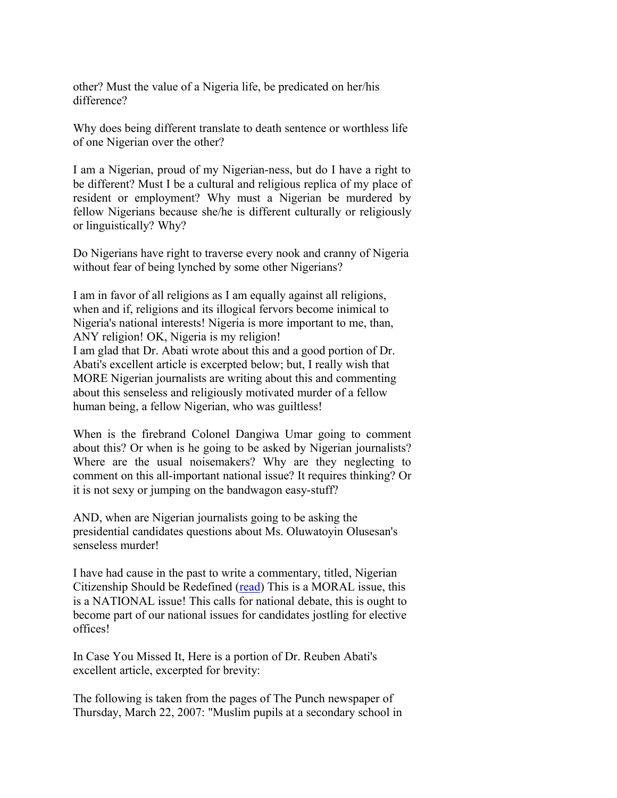other? Must the value of a Nigeria life, be predicated on her/his difference?

Why does being different translate to death sentence or worthless life of one Nigerian over the other?

I am a Nigerian, proud of my Nigerian-ness, but do I have a right to be different? Must I be a cultural and religious replica of my place of resident or employment? Why must a Nigerian be murdered by fellow Nigerians because she/he is different culturally or religiously or linguistically? Why?

Do Nigerians have right to traverse every nook and cranny of Nigeria without fear of being lynched by some other Nigerians?

I am in favor of all religions as I am equally against all religions, when and if, religions and its illogical fervors become inimical to Nigeria's national interests! Nigeria is more important to me, than, ANY religion! OK, Nigeria is my religion! I am glad that Dr. Abati wrote about this and a good portion of Dr. Abati's excellent article is excerpted below; but, I really wish that MORE Nigerian journalists are writing about this and commenting about this senseless and religiously motivated murder of a fellow human being, a fellow Nigerian, who was guiltless!

When is the firebrand Colonel Dangiwa Umar going to comment about this? Or when is he going to be asked by Nigerian journalists? Where are the usual noisemakers? Why are they neglecting to comment on this all-important national issue? It requires thinking? Or it is not sexy or jumping on the bandwagon easy-stuff?

AND, when are Nigerian journalists going to be asking the presidential candidates questions about Ms. Oluwatoyin Olusesan's senseless murder!

I have had cause in the past to write a commentary, titled, Nigerian Citizenship Should be Redefined [\(read\)](http://www.nigeriavillagesquare.com/home/281.html%20http:/www.google.com/custom?q=Nigerian+Citizenship+should+be+redefined+Adujie&btnG=Search&hl=en&ie=ISO-8859-1&oe=ISO-8859-1&client=pub-9312122639450878&cof=FORID:1;GL:1;LBGC:336699;LC:#0000ff;V) This is a MORAL issue, this is a NATIONAL issue! This calls for national debate, this is ought to become part of our national issues for candidates jostling for elective offices!

In Case You Missed It, Here is a portion of Dr. Reuben Abati's excellent article, excerpted for brevity:

The following is taken from the pages of The Punch newspaper of Thursday, March 22, 2007: "Muslim pupils at a secondary school in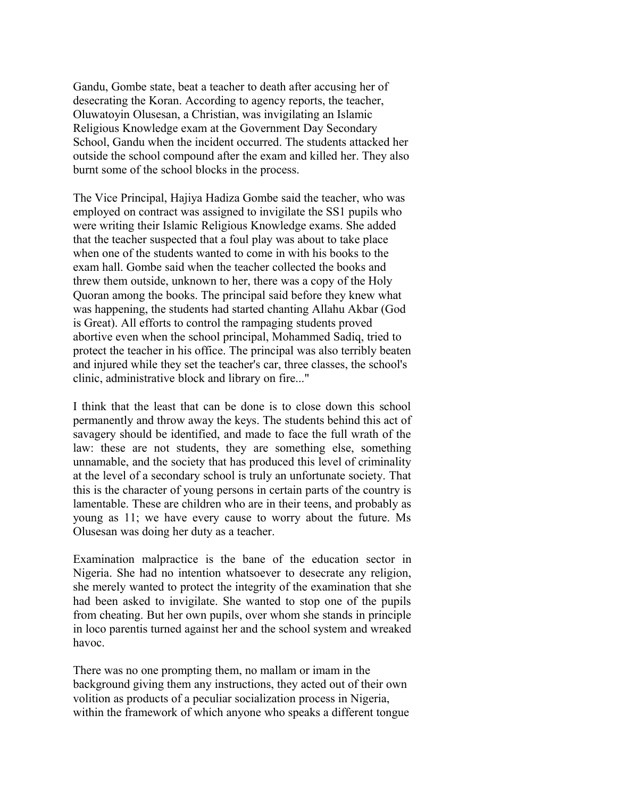Gandu, Gombe state, beat a teacher to death after accusing her of desecrating the Koran. According to agency reports, the teacher, Oluwatoyin Olusesan, a Christian, was invigilating an Islamic Religious Knowledge exam at the Government Day Secondary School, Gandu when the incident occurred. The students attacked her outside the school compound after the exam and killed her. They also burnt some of the school blocks in the process.

The Vice Principal, Hajiya Hadiza Gombe said the teacher, who was employed on contract was assigned to invigilate the SS1 pupils who were writing their Islamic Religious Knowledge exams. She added that the teacher suspected that a foul play was about to take place when one of the students wanted to come in with his books to the exam hall. Gombe said when the teacher collected the books and threw them outside, unknown to her, there was a copy of the Holy Quoran among the books. The principal said before they knew what was happening, the students had started chanting Allahu Akbar (God is Great). All efforts to control the rampaging students proved abortive even when the school principal, Mohammed Sadiq, tried to protect the teacher in his office. The principal was also terribly beaten and injured while they set the teacher's car, three classes, the school's clinic, administrative block and library on fire..."

I think that the least that can be done is to close down this school permanently and throw away the keys. The students behind this act of savagery should be identified, and made to face the full wrath of the law: these are not students, they are something else, something unnamable, and the society that has produced this level of criminality at the level of a secondary school is truly an unfortunate society. That this is the character of young persons in certain parts of the country is lamentable. These are children who are in their teens, and probably as young as 11; we have every cause to worry about the future. Ms Olusesan was doing her duty as a teacher.

Examination malpractice is the bane of the education sector in Nigeria. She had no intention whatsoever to desecrate any religion, she merely wanted to protect the integrity of the examination that she had been asked to invigilate. She wanted to stop one of the pupils from cheating. But her own pupils, over whom she stands in principle in loco parentis turned against her and the school system and wreaked havoc.

There was no one prompting them, no mallam or imam in the background giving them any instructions, they acted out of their own volition as products of a peculiar socialization process in Nigeria, within the framework of which anyone who speaks a different tongue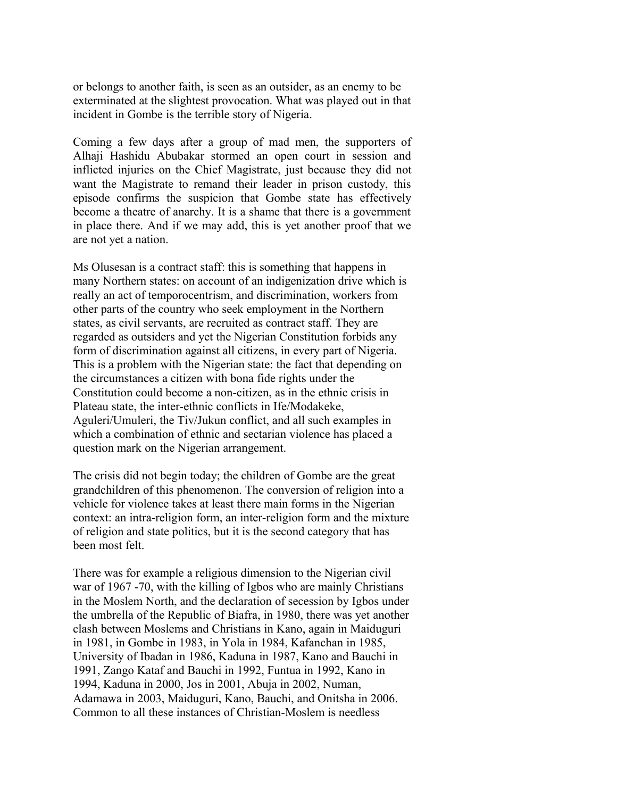or belongs to another faith, is seen as an outsider, as an enemy to be exterminated at the slightest provocation. What was played out in that incident in Gombe is the terrible story of Nigeria.

Coming a few days after a group of mad men, the supporters of Alhaji Hashidu Abubakar stormed an open court in session and inflicted injuries on the Chief Magistrate, just because they did not want the Magistrate to remand their leader in prison custody, this episode confirms the suspicion that Gombe state has effectively become a theatre of anarchy. It is a shame that there is a government in place there. And if we may add, this is yet another proof that we are not yet a nation.

Ms Olusesan is a contract staff: this is something that happens in many Northern states: on account of an indigenization drive which is really an act of temporocentrism, and discrimination, workers from other parts of the country who seek employment in the Northern states, as civil servants, are recruited as contract staff. They are regarded as outsiders and yet the Nigerian Constitution forbids any form of discrimination against all citizens, in every part of Nigeria. This is a problem with the Nigerian state: the fact that depending on the circumstances a citizen with bona fide rights under the Constitution could become a non-citizen, as in the ethnic crisis in Plateau state, the inter-ethnic conflicts in Ife/Modakeke, Aguleri/Umuleri, the Tiv/Jukun conflict, and all such examples in which a combination of ethnic and sectarian violence has placed a question mark on the Nigerian arrangement.

The crisis did not begin today; the children of Gombe are the great grandchildren of this phenomenon. The conversion of religion into a vehicle for violence takes at least there main forms in the Nigerian context: an intra-religion form, an inter-religion form and the mixture of religion and state politics, but it is the second category that has been most felt.

There was for example a religious dimension to the Nigerian civil war of 1967 -70, with the killing of Igbos who are mainly Christians in the Moslem North, and the declaration of secession by Igbos under the umbrella of the Republic of Biafra, in 1980, there was yet another clash between Moslems and Christians in Kano, again in Maiduguri in 1981, in Gombe in 1983, in Yola in 1984, Kafanchan in 1985, University of Ibadan in 1986, Kaduna in 1987, Kano and Bauchi in 1991, Zango Kataf and Bauchi in 1992, Funtua in 1992, Kano in 1994, Kaduna in 2000, Jos in 2001, Abuja in 2002, Numan, Adamawa in 2003, Maiduguri, Kano, Bauchi, and Onitsha in 2006. Common to all these instances of Christian-Moslem is needless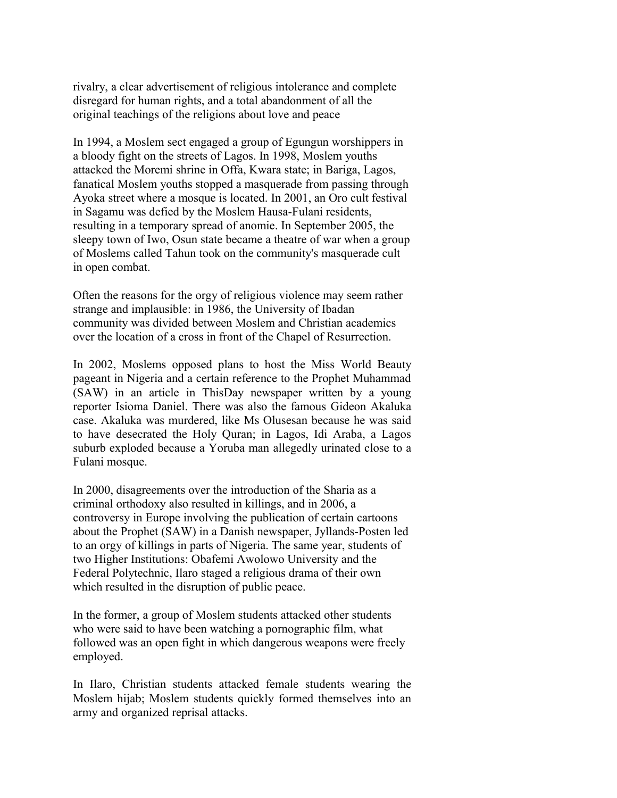rivalry, a clear advertisement of religious intolerance and complete disregard for human rights, and a total abandonment of all the original teachings of the religions about love and peace

In 1994, a Moslem sect engaged a group of Egungun worshippers in a bloody fight on the streets of Lagos. In 1998, Moslem youths attacked the Moremi shrine in Offa, Kwara state; in Bariga, Lagos, fanatical Moslem youths stopped a masquerade from passing through Ayoka street where a mosque is located. In 2001, an Oro cult festival in Sagamu was defied by the Moslem Hausa-Fulani residents, resulting in a temporary spread of anomie. In September 2005, the sleepy town of Iwo, Osun state became a theatre of war when a group of Moslems called Tahun took on the community's masquerade cult in open combat.

Often the reasons for the orgy of religious violence may seem rather strange and implausible: in 1986, the University of Ibadan community was divided between Moslem and Christian academics over the location of a cross in front of the Chapel of Resurrection.

In 2002, Moslems opposed plans to host the Miss World Beauty pageant in Nigeria and a certain reference to the Prophet Muhammad (SAW) in an article in ThisDay newspaper written by a young reporter Isioma Daniel. There was also the famous Gideon Akaluka case. Akaluka was murdered, like Ms Olusesan because he was said to have desecrated the Holy Quran; in Lagos, Idi Araba, a Lagos suburb exploded because a Yoruba man allegedly urinated close to a Fulani mosque.

In 2000, disagreements over the introduction of the Sharia as a criminal orthodoxy also resulted in killings, and in 2006, a controversy in Europe involving the publication of certain cartoons about the Prophet (SAW) in a Danish newspaper, Jyllands-Posten led to an orgy of killings in parts of Nigeria. The same year, students of two Higher Institutions: Obafemi Awolowo University and the Federal Polytechnic, Ilaro staged a religious drama of their own which resulted in the disruption of public peace.

In the former, a group of Moslem students attacked other students who were said to have been watching a pornographic film, what followed was an open fight in which dangerous weapons were freely employed.

In Ilaro, Christian students attacked female students wearing the Moslem hijab; Moslem students quickly formed themselves into an army and organized reprisal attacks.